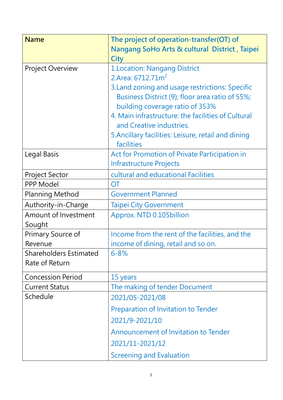| <b>Name</b>                   | The project of operation-transfer(OT) of<br>Nangang SoHo Arts & cultural District, Taipei |
|-------------------------------|-------------------------------------------------------------------------------------------|
|                               | <b>City</b>                                                                               |
| <b>Project Overview</b>       | 1. Location: Nangang District                                                             |
|                               | 2.Area: 6712.71m <sup>2</sup>                                                             |
|                               | 3. Land zoning and usage restrictions: Specific                                           |
|                               | Business District (9); floor area ratio of 55%;                                           |
|                               | building coverage ratio of 353%                                                           |
|                               | 4. Main infrastructure: the facilities of Cultural<br>and Creative industries.            |
|                               | 5. Ancillary facilities: Leisure, retail and dining                                       |
|                               | facilities                                                                                |
| Legal Basis                   | Act for Promotion of Private Participation in                                             |
|                               | <b>Infrastructure Projects</b>                                                            |
| <b>Project Sector</b>         | cultural and educational Facilities                                                       |
| <b>PPP Model</b>              | <b>OT</b>                                                                                 |
| <b>Planning Method</b>        | <b>Government Planned</b>                                                                 |
| Authority-in-Charge           | <b>Taipei City Government</b>                                                             |
| Amount of Investment          | Approx. NTD 0.105billion                                                                  |
| Sought                        |                                                                                           |
| Primary Source of             | Income from the rent of the facilities, and the                                           |
| Revenue                       | income of dining, retail and so on.                                                       |
| <b>Shareholders Estimated</b> | $6 - 8%$                                                                                  |
| Rate of Return                |                                                                                           |
| <b>Concession Period</b>      | 15 years                                                                                  |
| <b>Current Status</b>         | The making of tender Document                                                             |
| Schedule                      | 2021/05-2021/08                                                                           |
|                               | Preparation of Invitation to Tender                                                       |
|                               | 2021/9-2021/10                                                                            |
|                               | Announcement of Invitation to Tender                                                      |
|                               | 2021/11-2021/12                                                                           |
|                               | <b>Screening and Evaluation</b>                                                           |